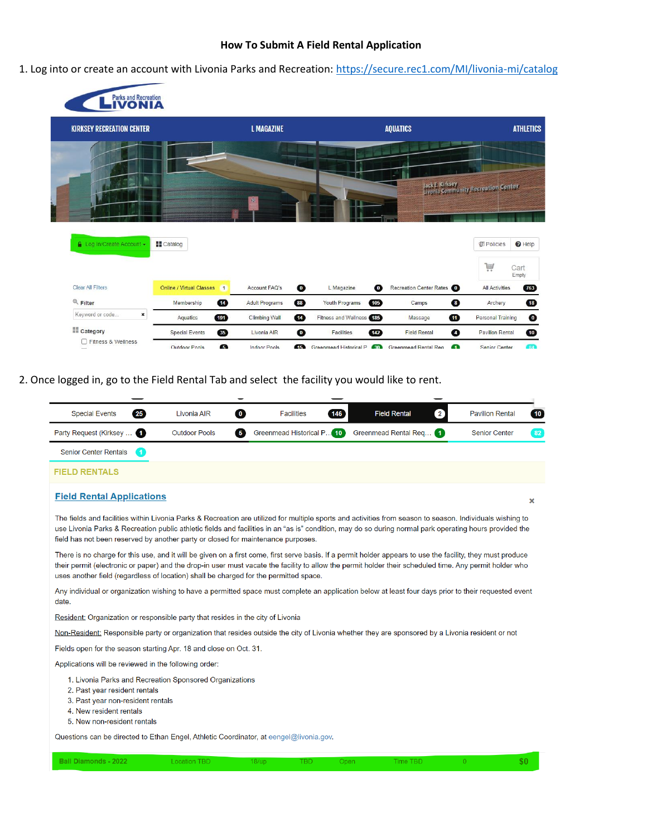#### **How To Submit A Field Rental Application**

1. Log into or create an account with Livonia Parks and Recreation: https://secure.rec1.com/MI/livonia-mi/catalog



2. Once logged in, go to the Field Rental Tab and select the facility you would like to rent.

| <b>Special Events</b><br>$\left(25\right)$ | Livonia AIR<br>$\bullet$  | $(146)$<br><b>Facilities</b> | <b>Field Rental</b><br>$\left( 2\right)$ | <b>Pavilion Rental</b> | $\sqrt{10}$ |
|--------------------------------------------|---------------------------|------------------------------|------------------------------------------|------------------------|-------------|
| Party Request (Kirksey                     | 5<br><b>Outdoor Pools</b> | Greenmead Historical P 10    | Greenmead Rental Req                     | <b>Senior Center</b>   | 82          |
| <b>Senior Center Rentals</b><br>(1)        |                           |                              |                                          |                        |             |
| <b>FIELD RENTALS</b>                       |                           |                              |                                          |                        |             |
|                                            |                           |                              |                                          |                        |             |

#### **Field Rental Applications**

The fields and facilities within Livonia Parks & Recreation are utilized for multiple sports and activities from season to season. Individuals wishing to use Livonia Parks & Recreation public athletic fields and facilities in an "as is" condition, may do so during normal park operating hours provided the field has not been reserved by another party or closed for maintenance purposes.

There is no charge for this use, and it will be given on a first come, first serve basis. If a permit holder appears to use the facility, they must produce their permit (electronic or paper) and the drop-in user must vacate the facility to allow the permit holder their scheduled time. Any permit holder who uses another field (regardless of location) shall be charged for the permitted space.

Any individual or organization wishing to have a permitted space must complete an application below at least four days prior to their requested event date.

Resident: Organization or responsible party that resides in the city of Livonia

Non-Resident: Responsible party or organization that resides outside the city of Livonia whether they are sponsored by a Livonia resident or not

Fields open for the season starting Apr. 18 and close on Oct. 31.

Applications will be reviewed in the following order:

- 1. Livonia Parks and Recreation Sponsored Organizations
- 2. Past year resident rentals
- 3. Past year non-resident rentals
- 4. New resident rentals
- 5. New non-resident rentals

Questions can be directed to Ethan Engel, Athletic Coordinator, at eengel@livonia.gov.

Ball Diamonds - 2022

Location TBD

Time TBD Open

\$0

 $\sim 0$ 

 $\mathbf x$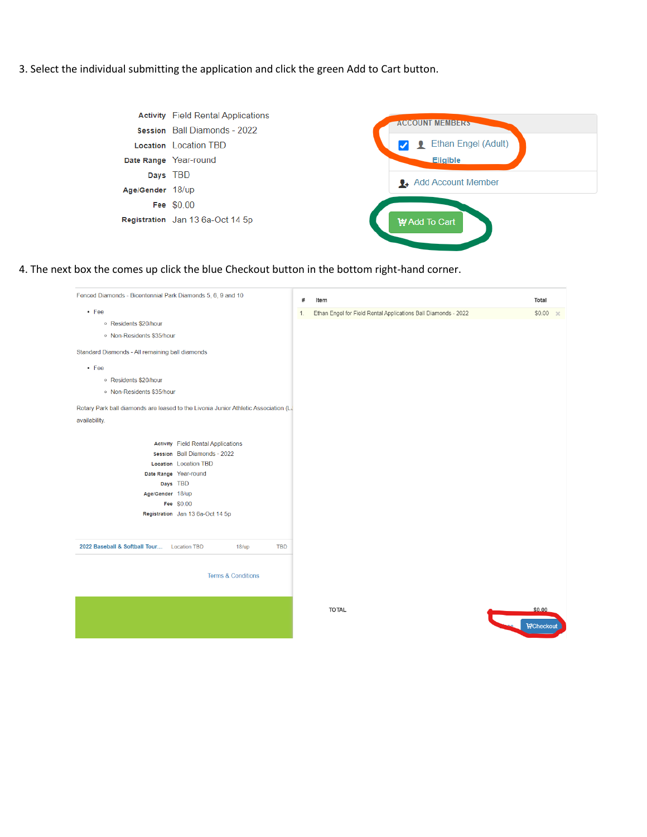## 3. Select the individual submitting the application and click the green Add to Cart button.

|                  | <b>Activity</b> Field Rental Applications | <b>ACCOUNT MEMBERS</b>      |
|------------------|-------------------------------------------|-----------------------------|
|                  | <b>Session</b> Ball Diamonds - 2022       |                             |
|                  | Location Location TBD                     | Ethan Engel (Adult)         |
|                  | Date Range Year-round                     | Eligible                    |
|                  | Days TBD                                  |                             |
| Age/Gender 18/up |                                           | <b>1</b> Add Account Member |
|                  | Fee \$0.00                                |                             |
|                  | Registration Jan 13 6a-Oct 14 5p          | Add To Cart                 |

4. The next box the comes up click the blue Checkout button in the bottom right-hand corner.

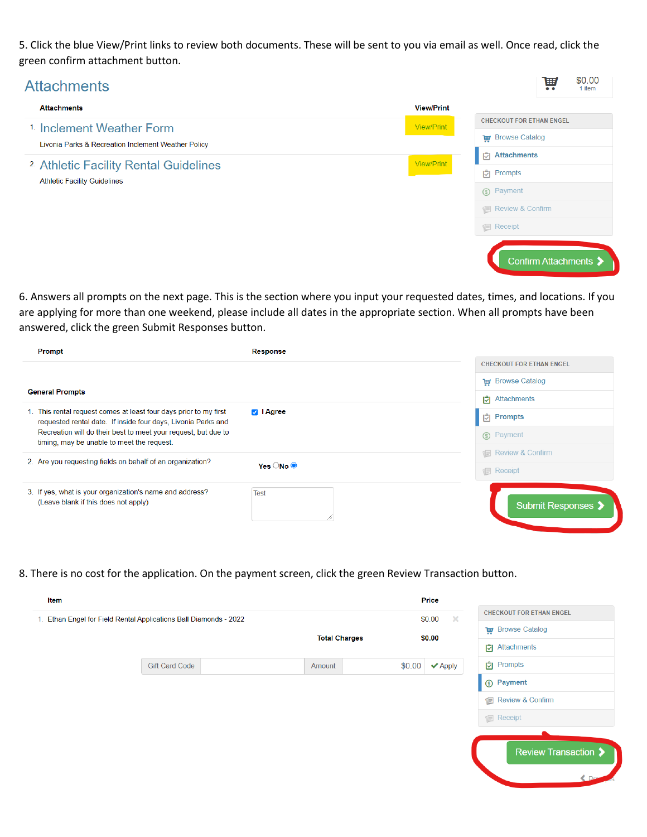5. Click the blue View/Print links to review both documents. These will be sent to you via email as well. Once read, click the green confirm attachment button.

| <b>Attachments</b>                                                                      | \$0.00<br>W<br>1 item                         |  |
|-----------------------------------------------------------------------------------------|-----------------------------------------------|--|
| <b>Attachments</b>                                                                      | <b>View/Print</b>                             |  |
| <sup>1.</sup> Inclement Weather Form                                                    | <b>CHECKOUT FOR ETHAN ENGEL</b><br>View/Print |  |
| Livonia Parks & Recreation Inclement Weather Policy                                     | <b>THE Browse Catalog</b>                     |  |
|                                                                                         | <b>D</b> Attachments                          |  |
| <sup>2</sup> Athletic Facility Rental Guidelines<br><b>Athletic Facility Guidelines</b> | View/Print<br> C  Prompts                     |  |
|                                                                                         | (5) Payment                                   |  |
|                                                                                         | 1 Review & Confirm                            |  |
|                                                                                         | <b>I</b> Receipt                              |  |
|                                                                                         | Confirm Attachments >                         |  |

6. Answers all prompts on the next page. This is the section where you input your requested dates, times, and locations. If you are applying for more than one weekend, please include all dates in the appropriate section. When all prompts have been answered, click the green Submit Responses button.

| <b>General Prompts</b><br>1. This rental request comes at least four days prior to my first<br>$\sqrt{ }$   Agree           | <b>CHECKOUT FOR ETHAN ENGEL</b><br><b>THE Browse Catalog</b><br><b>D</b> Attachments |
|-----------------------------------------------------------------------------------------------------------------------------|--------------------------------------------------------------------------------------|
|                                                                                                                             |                                                                                      |
|                                                                                                                             |                                                                                      |
|                                                                                                                             |                                                                                      |
| <b>D</b> Prompts<br>requested rental date. If inside four days, Livonia Parks and                                           |                                                                                      |
| Recreation will do their best to meet your request, but due to<br>(f) Payment<br>timing, may be unable to meet the request. |                                                                                      |
|                                                                                                                             | 1 Review & Confirm                                                                   |
| 2. Are you requesting fields on behalf of an organization?<br>Yes $\bigcirc$ No $\bigcirc$<br><b>I</b> Receipt              |                                                                                      |
| 3. If yes, what is your organization's name and address?<br><b>Test</b><br>(Leave blank if this does not apply)             | Submit Responses >                                                                   |

## 8. There is no cost for the application. On the payment screen, click the green Review Transaction button.

| Item |                                                                |                      |        | Price                       |                                 |
|------|----------------------------------------------------------------|----------------------|--------|-----------------------------|---------------------------------|
| 1.   | Ethan Engel for Field Rental Applications Ball Diamonds - 2022 |                      |        | \$0.00<br>$\mathbf{x}$      | <b>CHECKOUT FOR ETHAN ENGEL</b> |
|      |                                                                | <b>Total Charges</b> |        | \$0.00                      | Browse Catalog                  |
|      |                                                                |                      |        |                             | Attachments                     |
|      | <b>Gift Card Code</b>                                          | Amount               | \$0.00 | $\blacktriangleright$ Apply | Prompts                         |
|      |                                                                |                      |        |                             | <b>9</b> Payment                |
|      |                                                                |                      |        |                             | Review & Confirm                |
|      |                                                                |                      |        |                             | <b>Receipt</b>                  |
|      |                                                                |                      |        |                             |                                 |
|      |                                                                |                      |        |                             | Review Transaction >            |
|      |                                                                |                      |        |                             |                                 |
|      |                                                                |                      |        |                             |                                 |